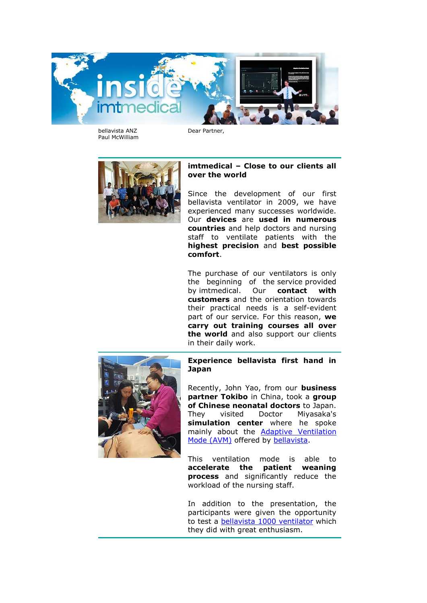

bellavista ANZ Paul McWilliam Dear Partner,



## **imtmedical – Close to our clients all over the world**

Since the development of our first bellavista ventilator in 2009, we have experienced many successes worldwide. Our **devices** are **used in numerous countries** and help doctors and nursing staff to ventilate patients with the **highest precision** and **best possible comfort**.

The purchase of our ventilators is only the beginning of the service provided by imtmedical. Our **contact with customers** and the orientation towards their practical needs is a self-evident part of our service. For this reason, **we carry out training courses all over the world** and also support our clients in their daily work.



**Experience bellavista first hand in Japan**

Recently, John Yao, from our **business partner Tokibo** in China, took a **group of Chinese neonatal doctors** to Japan. They visited Doctor Miyasaka's **simulation center** where he spoke mainly about the [Adaptive Ventilation](https://imtmedical.com/Resources/Images/Upload/ExtranetTemp/bellavista_avm_EN_imtmedical.pdf)  [Mode \(AVM\)](https://imtmedical.com/Resources/Images/Upload/ExtranetTemp/bellavista_avm_EN_imtmedical.pdf) offered by [bellavista.](https://imtmedical.com/Bellavista)

This ventilation mode is able to **accelerate the patient weaning process** and significantly reduce the workload of the nursing staff.

In addition to the presentation, the participants were given the opportunity to test a [bellavista 1000 ventilator](https://imtmedical.com/Bellavista/Bellavista1000) which they did with great enthusiasm.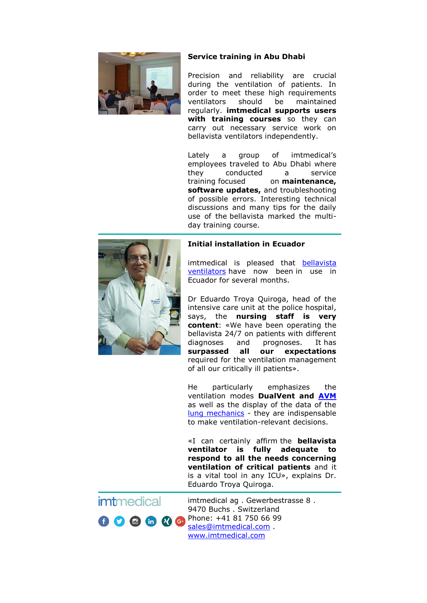

## **Service training in Abu Dhabi**

Precision and reliability are crucial during the ventilation of patients. In order to meet these high requirements ventilators should be maintained regularly. **imtmedical supports users with training courses** so they can carry out necessary service work on bellavista ventilators independently.

Lately a group of imtmedical's employees traveled to Abu Dhabi where they conducted a service training focused on **maintenance, software updates,** and troubleshooting of possible errors. Interesting technical discussions and many tips for the daily use of the bellavista marked the multiday training course.



## **Initial installation in Ecuador**

imtmedical is pleased that [bellavista](https://imtmedical.com/Bellavista/Bellavista1000)  [ventilators](https://imtmedical.com/Bellavista/Bellavista1000) have now been in use in Ecuador for several months.

Dr Eduardo Troya Quiroga, head of the intensive care unit at the police hospital, says, the **nursing staff is very content**: «We have been operating the bellavista 24/7 on patients with different diagnoses and prognoses. It has **surpassed all our expectations** required for the ventilation management of all our critically ill patients».

He particularly emphasizes the ventilation modes **DualVent and [AVM](https://imtmedical.com/Resources/Images/Upload/ExtranetTemp/bellavista_avm_EN_imtmedical.pdf)** as well as the display of the data of the [lung mechanics](https://imtmedical.com/Bellavista/Features) - they are indispensable to make ventilation-relevant decisions.

«I can certainly affirm the **bellavista ventilator is fully adequate to respond to all the needs concerning ventilation of critical patients** and it is a vital tool in any ICU», explains Dr. Eduardo Troya Quiroga.



imtmedical ag . Gewerbestrasse 8 . 9470 Buchs . Switzerland Phone: +41 81 750 66 99 [sales@imtmedical.com](mailto:sales@imtmedical.com) . [www.imtmedical.com](https://imtmedical.com/)